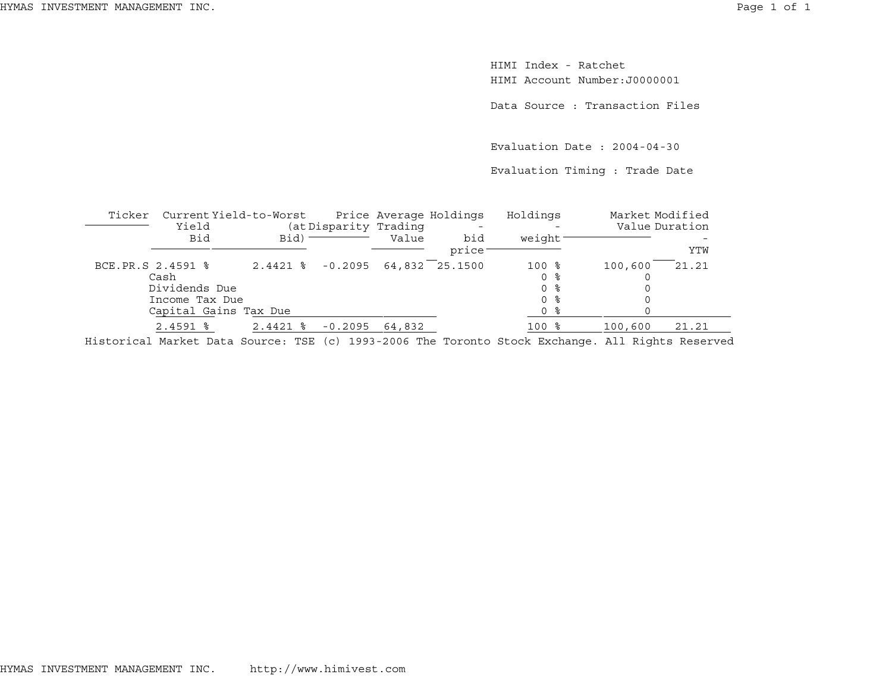HIMI Index - RatchetHIMI Account Number:J0000001

Data Source : Transaction Files

Evaluation Date : 2004-04-30

Evaluation Timing : Trade Date

| Ticker |                                                              | Current Yield-to-Worst |                       |        | Price Average Holdings | Holdings                                | Market Modified |       |
|--------|--------------------------------------------------------------|------------------------|-----------------------|--------|------------------------|-----------------------------------------|-----------------|-------|
|        | Yield<br>Bid                                                 | Bid) =                 | (at Disparity Trading | Value  | bid<br>price           | weight                                  | Value Duration  | YTW   |
|        | BCE.PR.S 2.4591 %<br>Cash<br>Dividends Due<br>Income Tax Due |                        | $2.4421$ % $-0.2095$  |        | 64,832 25.1500         | $100$ %<br>0 %<br>0 %<br>0 <sup>8</sup> | 100,600         | 21.21 |
|        |                                                              | Capital Gains Tax Due  |                       |        |                        | 0 %                                     |                 |       |
|        | $2.4591$ %                                                   | $2.4421$ %             | $-0.2095$             | 64,832 |                        | $100$ %                                 | 100,600         | 21.21 |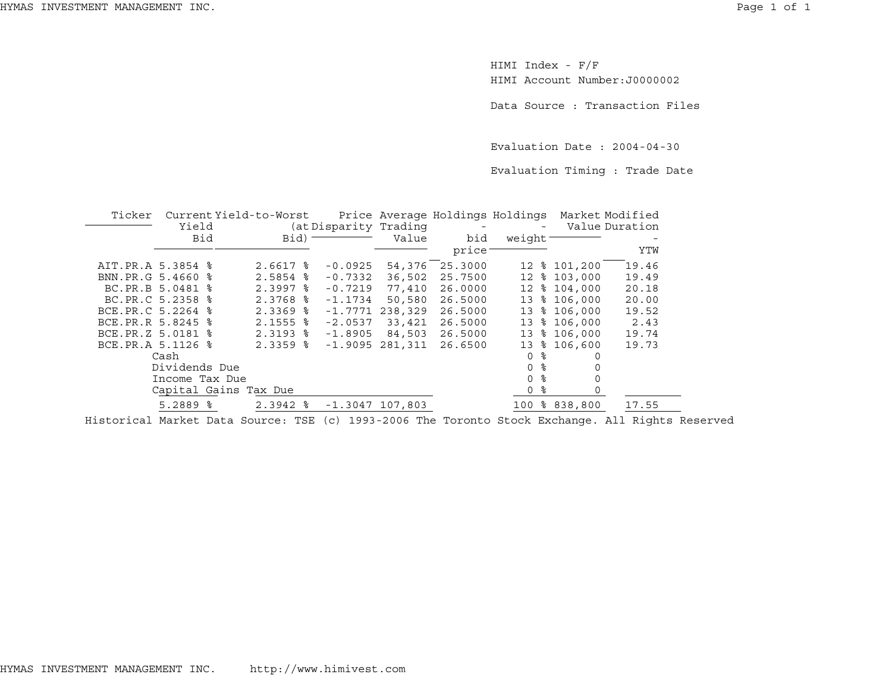HIMI Index - F/F HIMI Account Number:J0000002

Data Source : Transaction Files

Evaluation Date : 2004-04-30

Evaluation Timing : Trade Date

| Ticker            | Current Yield-to-Worst |                        |                        |                   |                          | Price Average Holdings Holdings Market Modified |           |                |
|-------------------|------------------------|------------------------|------------------------|-------------------|--------------------------|-------------------------------------------------|-----------|----------------|
|                   | Yield                  |                        | (at Disparity Trading) |                   | $\overline{\phantom{a}}$ |                                                 |           | Value Duration |
|                   | Bid                    | Bid)                   |                        | Value             | bid                      | weight <sup>-</sup>                             |           |                |
|                   |                        |                        |                        |                   | price                    |                                                 |           | YTW            |
| AIT.PR.A 5.3854 % |                        | $2.6617$ %             | $-0.0925$              | 54,376            | 25.3000                  | 12                                              | \$101,200 | 19.46          |
| BNN.PR.G 5.4660 % |                        | 2.5854<br>ႜ            | $-0.7332$              | 36,502            | 25.7500                  | 12                                              | \$103,000 | 19.49          |
|                   | BC.PR.B 5.0481 %       | $2.3997$ $%$           | $-0.7219$              | 77,410            | 26,0000                  | $12 \overline{ }$                               | \$104,000 | 20.18          |
|                   | BC.PR.C 5.2358 %       | $2.3768$ $\frac{6}{5}$ | $-1.1734$              | 50,580            | 26.5000                  | 13                                              | \$106,000 | 20.00          |
| BCE.PR.C 5.2264 % |                        | $2.3369$ $8$           | $-1.7771$              | 238,329           | 26.5000                  | 13                                              | \$106,000 | 19.52          |
| BCE.PR.R 5.8245 % |                        | $2.1555$ $\frac{6}{5}$ | $-2.0537$              | 33,421            | 26.5000                  | 13                                              | \$106,000 | 2.43           |
| BCE.PR.Z 5.0181 % |                        | $2.3193$ $\frac{6}{5}$ | $-1.8905$              | 84,503            | 26.5000                  | 13                                              | \$106,000 | 19.74          |
| BCE.PR.A 5.1126 % |                        | $2.3359$ $%$           | $-1.9095$              | 281,311           | 26.6500                  | ႜ<br>13                                         | 106,600   | 19.73          |
|                   | Cash                   |                        |                        |                   |                          | ႜ<br>$\Omega$                                   | 0         |                |
|                   | Dividends Due          |                        |                        |                   |                          | $\approx$<br>$\Omega$                           |           |                |
|                   | Income Tax Due         |                        |                        |                   |                          | န္<br>0                                         | 0         |                |
|                   | Capital Gains Tax Due  |                        |                        |                   |                          | နွ<br>0                                         | 0         |                |
|                   | $5.2889$ $\frac{6}{5}$ | $2.3942$ $\frac{8}{5}$ |                        | $-1.3047$ 107,803 |                          | 100                                             | 8838,800  | 17.55          |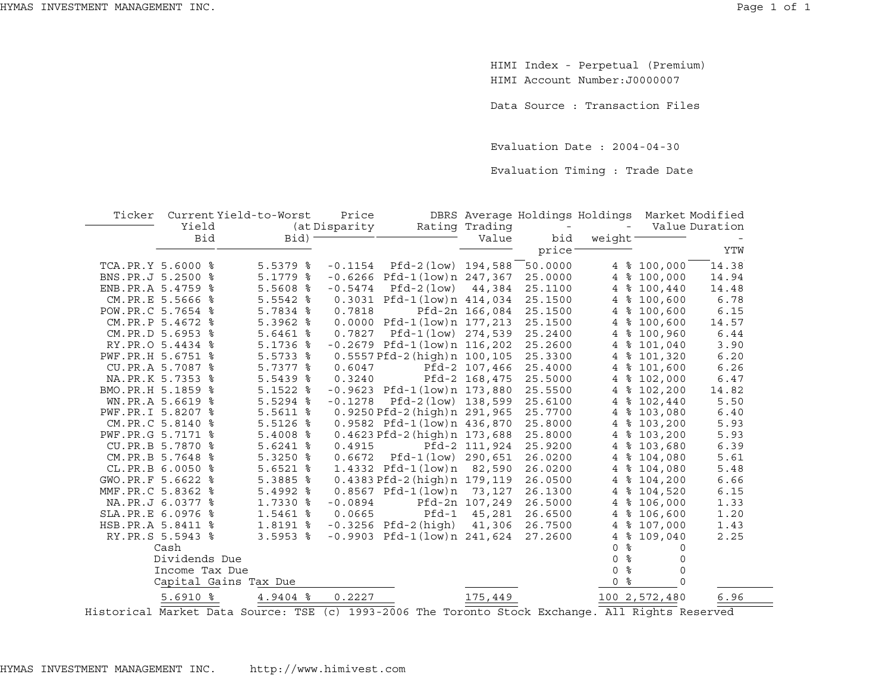HIMI Index - Perpetual (Premium) HIMI Account Number:J0000007

Data Source : Transaction Files

Evaluation Date : 2004-04-30

Evaluation Timing : Trade Date

| Ticker            |                  | Current Yield-to-Worst | Price         |                                   |                |                          | DBRS Average Holdings Holdings |               | Market Modified |
|-------------------|------------------|------------------------|---------------|-----------------------------------|----------------|--------------------------|--------------------------------|---------------|-----------------|
|                   | Yield            |                        | (at Disparity |                                   | Rating Trading | $\overline{\phantom{a}}$ |                                |               | Value Duration  |
|                   | <b>Bid</b>       | Bid)                   |               |                                   | Value          | bid                      | weight                         |               |                 |
|                   |                  |                        |               |                                   |                | price                    |                                |               | YTW             |
| TCA.PR.Y 5.6000 % |                  | $5.5379$ $8$           | $-0.1154$     | Pfd-2(low) 194,588                |                | 50.0000                  |                                | 4 % 100,000   | 14.38           |
| BNS.PR.J 5.2500 % |                  | $5.1779$ %             |               | $-0.6266$ Pfd $-1$ (low)n 247,367 |                | 25.0000                  | $\overline{4}$                 | \$100,000     | 14.94           |
| ENB.PR.A 5.4759 % |                  | $5.5608$ %             | $-0.5474$     | $Pfd-2(low)$                      | 44,384         | 25.1100                  | 4                              | \$100,440     | 14.48           |
|                   | CM.PR.E 5.5666 % | $5.5542$ $8$           |               | 0.3031 Pfd-1(low)n 414,034        |                | 25.1500                  | 4                              | \$100,600     | 6.78            |
| POW.PR.C 5.7654 % |                  | $5.7834$ %             | 0.7818        |                                   | Pfd-2n 166,084 | 25.1500                  | 4                              | \$100,600     | 6.15            |
|                   | CM.PR.P 5.4672 % | 5.3962 %               |               | 0.0000 Pfd-1(low)n 177,213        |                | 25.1500                  | $\overline{4}$                 | \$100,600     | 14.57           |
|                   | CM.PR.D 5.6953 % | $5.6461$ %             | 0.7827        | Pfd-1(low) 274,539                |                | 25.2400                  | $\overline{4}$                 | \$100,960     | 6.44            |
|                   | RY.PR.O 5.4434 % | $5.1736$ %             |               | $-0.2679$ Pfd $-1$ (low)n 116,202 |                | 25.2600                  | ႜၟ<br>4                        | 101,040       | 3.90            |
| PWF.PR.H 5.6751 % |                  | $5.5733$ $%$           |               | 0.5557 Pfd-2 (high) n 100,105     |                | 25.3300                  | 4                              | \$101,320     | 6.20            |
|                   | CU.PR.A 5.7087 % | 5.7377 %               | 0.6047        |                                   | Pfd-2 107,466  | 25.4000                  | 4                              | \$101,600     | 6.26            |
|                   | NA.PR.K 5.7353 % | 5.5439 %               | 0.3240        |                                   | Pfd-2 168,475  | 25.5000                  | 4                              | \$102,000     | 6.47            |
| BMO.PR.H 5.1859 % |                  | $5.1522$ %             |               | $-0.9623$ Pfd $-1$ (low)n 173,880 |                | 25.5500                  | 4                              | \$102,200     | 14.82           |
|                   | WN.PR.A 5.6619 % | 5.5294 %               | $-0.1278$     | Pfd-2(low) 138,599                |                | 25.6100                  | 4                              | \$102,440     | 5.50            |
| PWF.PR.I 5.8207 % |                  | 5.5611 %               |               | 0.9250 Pfd-2 (high) n 291,965     |                | 25.7700                  | 4                              | \$103,080     | 6.40            |
|                   | CM.PR.C 5.8140 % | $5.5126$ %             |               | 0.9582 Pfd-1(low)n 436,870        |                | 25.8000                  | 4                              | \$103,200     | 5.93            |
| PWF.PR.G 5.7171 % |                  | $5.4008$ %             |               | 0.4623 Pfd-2 (high) n 173,688     |                | 25.8000                  | 4                              | \$103,200     | 5.93            |
|                   | CU.PR.B 5.7870 % | $5.6241$ %             | 0.4915        |                                   | Pfd-2 111,924  | 25.9200                  | ႜၟ<br>4                        | 103,680       | 6.39            |
|                   | CM.PR.B 5.7648 % | $5.3250$ %             | 0.6672        | Pfd-1(low) 290,651                |                | 26.0200                  | ႜ<br>4                         | 104,080       | 5.61            |
|                   | CL.PR.B 6.0050 % | $5.6521$ %             |               | $1.4332$ Pfd-1(low)n              | 82,590         | 26.0200                  | 4                              | \$104,080     | 5.48            |
| GWO.PR.F 5.6622 % |                  | 5.3885 %               |               | 0.4383 Pfd-2 (high) n 179, 119    |                | 26.0500                  | $\overline{4}$                 | \$104,200     | 6.66            |
| MMF.PR.C 5.8362 % |                  | 5.4992 %               |               | $0.8567$ Pfd-1(low)n              | 73,127         | 26.1300                  | $\overline{4}$                 | \$104,520     | 6.15            |
|                   | NA.PR.J 6.0377 % | 1.7330 %               | $-0.0894$     |                                   | Pfd-2n 107,249 | 26.5000                  | 4                              | \$106,000     | 1.33            |
| SLA.PR.E 6.0976 % |                  | 1.5461 %               | 0.0665        | Pfd-1                             | 45,281         | 26.6500                  | 4                              | \$106,600     | 1.20            |
| HSB.PR.A 5.8411 % |                  | 1.8191 %               |               | $-0.3256$ Pfd $-2$ (high)         | 41,306         | 26.7500                  | 4                              | \$107,000     | 1.43            |
|                   | RY.PR.S 5.5943 % | $3.5953$ $8$           |               | $-0.9903$ Pfd-1(low)n 241,624     |                | 27.2600                  | 4                              | \$109,040     | 2.25            |
|                   | Cash             |                        |               |                                   |                |                          | ್ಠಿ<br>$\Omega$                | $\Omega$      |                 |
|                   | Dividends Due    |                        |               |                                   |                |                          | နွ<br>0                        | 0             |                 |
|                   | Income Tax Due   |                        |               |                                   |                |                          | နွ<br>0                        | $\mathbf 0$   |                 |
|                   |                  | Capital Gains Tax Due  |               |                                   |                |                          | ್ಠಿ<br>0                       | $\Omega$      |                 |
|                   | $5.6910$ %       | 4.9404 %               | 0.2227        |                                   | 175,449        |                          |                                | 100 2,572,480 | 6.96            |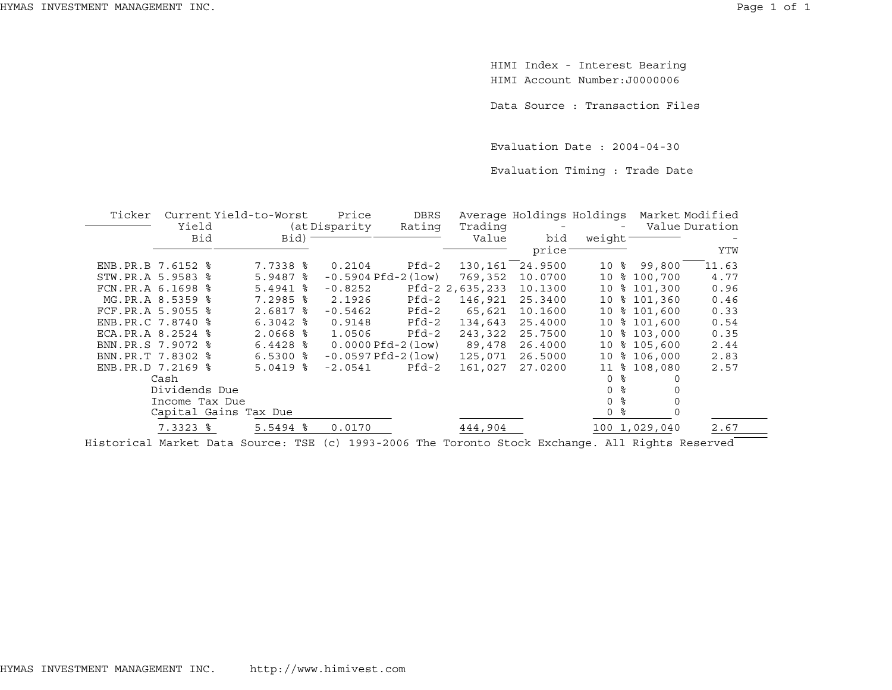HIMI Index - Interest Bearing HIMI Account Number:J0000006

Data Source : Transaction Files

Evaluation Date : 2004-04-30

Evaluation Timing : Trade Date

| Ticker |                        | Current Yield-to-Worst                                                                           | Price                    | <b>DBRS</b> |                 | Average Holdings Holdings |                          | Market Modified |                |
|--------|------------------------|--------------------------------------------------------------------------------------------------|--------------------------|-------------|-----------------|---------------------------|--------------------------|-----------------|----------------|
|        | Yield                  |                                                                                                  | (at Disparity)           | Rating      | Trading         |                           | $\overline{\phantom{a}}$ |                 | Value Duration |
|        | Bid                    | Bid)                                                                                             |                          |             | Value           | bid                       | weight                   |                 |                |
|        |                        |                                                                                                  |                          |             |                 | price                     |                          |                 | YTW            |
|        | ENB.PR.B 7.6152 %      | $7.7338$ $\frac{6}{5}$                                                                           | 0.2104                   | Pfd-2       | 130,161         | 24.9500                   |                          | 10 % 99,800     | 11.63          |
|        | STW.PR.A 5.9583 %      | $5.9487$ $\frac{6}{5}$                                                                           | $-0.5904$ Pfd $-2$ (low) |             | 769,352         | 10.0700                   |                          | 10 % 100,700    | 4.77           |
|        | FCN.PR.A 6.1698 %      | $5.4941$ %                                                                                       | $-0.8252$                |             | Pfd-2 2,635,233 | 10.1300                   |                          | 10 % 101,300    | 0.96           |
|        | MG.PR.A 8.5359 %       | $7.2985$ $\frac{6}{5}$                                                                           | 2.1926                   | Pfd-2       | 146,921         | 25.3400                   |                          | 10 % 101,360    | 0.46           |
|        | FCF.PR.A 5.9055 %      | $2.6817$ %                                                                                       | $-0.5462$                | Pfd-2       | 65,621          | 10.1600                   |                          | 10 % 101,600    | 0.33           |
|        | ENB.PR.C 7.8740 %      | $6.3042$ $%$                                                                                     | 0.9148                   | Pfd-2       | 134,643         | 25.4000                   |                          | 10 % 101,600    | 0.54           |
|        | ECA.PR.A 8.2524 %      | $2.0668$ %                                                                                       | 1.0506                   | Pfd-2       | 243,322         | 25.7500                   |                          | 10 % 103,000    | 0.35           |
|        | BNN.PR.S 7.9072 %      | $6.4428$ %                                                                                       | $0.0000Pfd-2(1ow)$       |             | 89,478          | 26.4000                   |                          | 10 % 105,600    | 2.44           |
|        | BNN.PR.T 7.8302 %      | $6.5300$ $\frac{6}{3}$                                                                           | $-0.0597$ Pfd $-2$ (low) |             | 125,071         | 26.5000                   |                          | 10 % 106,000    | 2.83           |
|        | ENB.PR.D 7.2169 %      | $5.0419$ %                                                                                       | $-2.0541$                | Pfd-2       | 161,027         | 27.0200                   | 11                       | \$108,080       | 2.57           |
|        | Cash                   |                                                                                                  |                          |             |                 |                           | 0<br>ႜ                   |                 |                |
|        | Dividends Due          |                                                                                                  |                          |             |                 |                           | ႜ<br>0                   |                 |                |
|        | Income Tax Due         |                                                                                                  |                          |             |                 |                           | ႜၟ<br>0                  |                 |                |
|        |                        | Capital Gains Tax Due                                                                            |                          |             |                 |                           | နွ<br>0                  |                 |                |
|        | $7.3323$ $\frac{6}{5}$ | $5.5494$ $\frac{8}{5}$                                                                           | 0.0170                   |             | 444,904         |                           |                          | 100 1,029,040   | 2.67           |
|        |                        | Historical Market Data Source: TSE (c) 1993-2006 The Toronto Stock Exchange. All Rights Reserved |                          |             |                 |                           |                          |                 |                |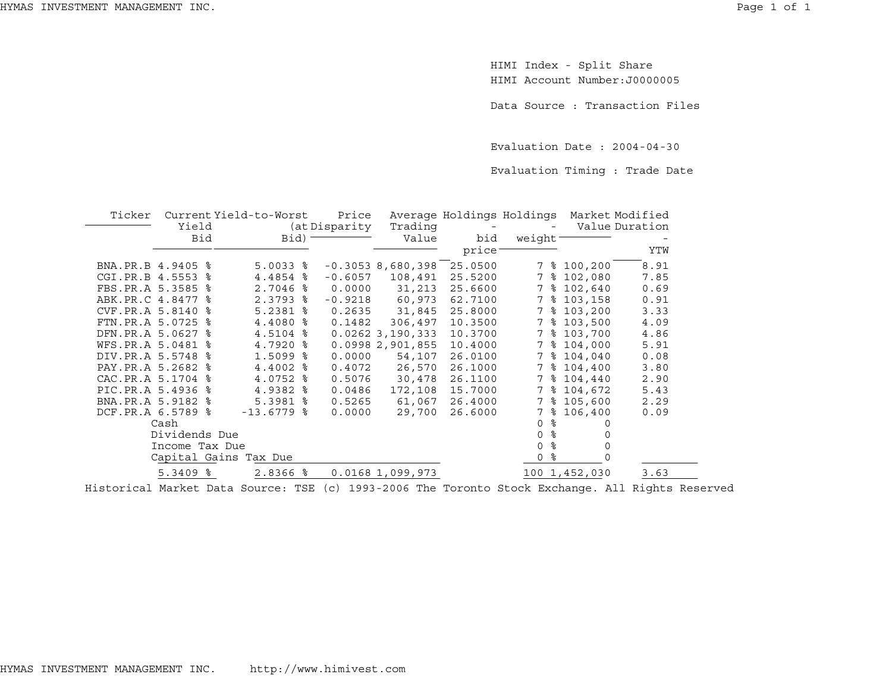$\overline{\phantom{a}}$ 

HIMI Index - Split Share HIMI Account Number:J0000005

Data Source : Transaction Files

Evaluation Date : 2004-04-30

Evaluation Timing : Trade Date

| Ticker            |                |     | Current Yield-to-Worst | Price         |                     |                          | Average Holdings Holdings Market Modified |               |                |
|-------------------|----------------|-----|------------------------|---------------|---------------------|--------------------------|-------------------------------------------|---------------|----------------|
|                   | Yield          |     |                        | (at Disparity | Trading             | $\overline{\phantom{a}}$ |                                           |               | Value Duration |
|                   |                | Bid | Bid)                   |               | Value               | bid                      | weight-                                   |               |                |
|                   |                |     |                        |               |                     | price <sup>-</sup>       |                                           |               | YTW            |
| BNA.PR.B 4.9405 % |                |     | $5.0033$ $\frac{6}{5}$ |               | $-0.3053$ 8,680,398 | 25.0500                  |                                           | 7 % 100,200   | 8.91           |
| CGI.PR.B 4.5553 % |                |     | 4.4854 %               | $-0.6057$     | 108,491             | 25.5200                  |                                           | 7 % 102,080   | 7.85           |
| FBS.PR.A 5.3585 % |                |     | $2.7046$ %             | 0.0000        | 31,213              | 25.6600                  | 7                                         | \$102,640     | 0.69           |
| ABK.PR.C 4.8477 % |                |     | $2.3793$ $8$           | $-0.9218$     | 60,973              | 62.7100                  |                                           | 7 % 103,158   | 0.91           |
| CVF.PR.A 5.8140 % |                |     | $5.2381$ $\frac{8}{5}$ | 0.2635        | 31,845              | 25.8000                  | 7                                         | \$103,200     | 3.33           |
| FTN.PR.A 5.0725 % |                |     | $4.4080$ %             | 0.1482        | 306,497             | 10.3500                  |                                           | 7 % 103,500   | 4.09           |
| DFN.PR.A 5.0627 % |                |     | $4.5104$ %             |               | 0.02623,190,333     | 10.3700                  | 7                                         | \$103,700     | 4.86           |
| WFS.PR.A 5.0481 % |                |     | $4.7920$ $\frac{6}{5}$ |               | 0.09982,901,855     | 10.4000                  | 7                                         | \$104,000     | 5.91           |
| DIV.PR.A 5.5748 % |                |     | $1.5099$ $\frac{6}{5}$ | 0.0000        | 54,107              | 26.0100                  | 7                                         | \$104,040     | 0.08           |
| PAY.PR.A 5.2682 % |                |     | $4.4002$ %             | 0.4072        | 26,570              | 26.1000                  | 7                                         | \$104,400     | 3.80           |
| CAC.PR.A 5.1704 % |                |     | 4.0752 %               | 0.5076        | 30,478              | 26.1100                  | 7                                         | \$104,440     | 2.90           |
| PIC.PR.A 5.4936 % |                |     | $4.9382$ $%$           | 0.0486        | 172,108             | 15.7000                  |                                           | 7 % 104,672   | 5.43           |
| BNA.PR.A 5.9182 % |                |     | $5.3981$ %             | 0.5265        | 61,067              | 26.4000                  | 7                                         | \$105,600     | 2.29           |
| DCF.PR.A 6.5789 % |                |     | $-13.6779$ %           | 0.0000        | 29,700              | 26.6000                  | 7<br>ႜ                                    | 106,400       | 0.09           |
|                   | Cash           |     |                        |               |                     |                          | နွ<br>$\Omega$                            |               |                |
|                   | Dividends Due  |     |                        |               |                     |                          | ⊱<br>0                                    |               |                |
|                   | Income Tax Due |     |                        |               |                     |                          | ⊱<br>0                                    | 0             |                |
|                   |                |     | Capital Gains Tax Due  |               |                     |                          | ႜ<br>0                                    |               |                |
|                   | $5.3409$ $8$   |     | 2.8366 %               |               | $0.0168$ 1,099,973  |                          |                                           | 100 1,452,030 | 3.63           |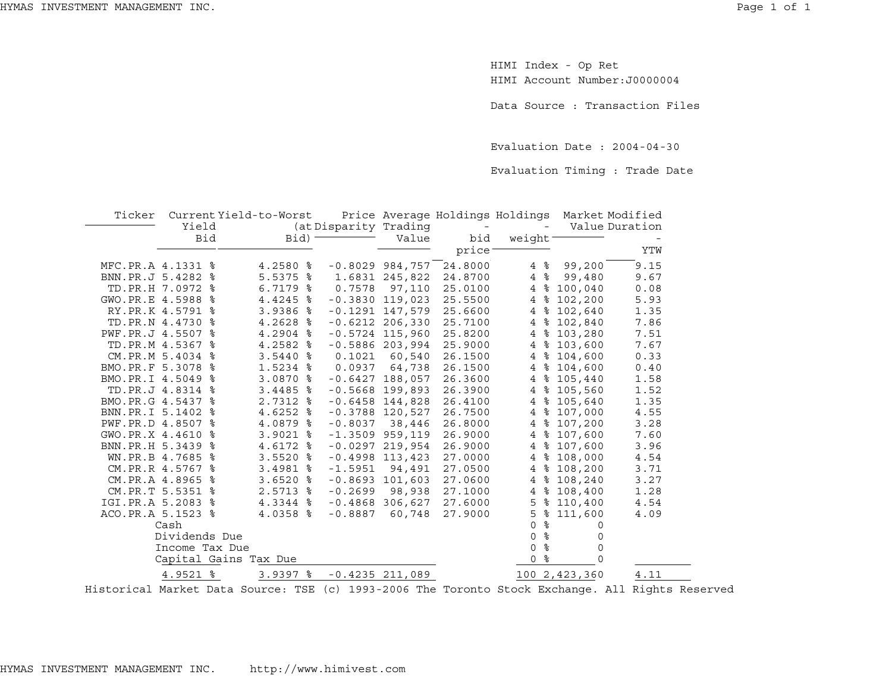HIMI Index - Op Ret HIMI Account Number:J0000004

Data Source : Transaction Files

Evaluation Date : 2004-04-30

Evaluation Timing : Trade Date

| Ticker          |                     | Current Yield-to-Worst |                       |                    | Price Average Holdings Holdings |                     | Market Modified |                |
|-----------------|---------------------|------------------------|-----------------------|--------------------|---------------------------------|---------------------|-----------------|----------------|
|                 | Yield               |                        | (at Disparity Trading |                    |                                 |                     |                 | Value Duration |
|                 | <b>Bid</b>          | Bid)                   |                       | Value              | bid                             | weight              |                 |                |
|                 |                     |                        |                       |                    | price                           |                     |                 | YTW            |
|                 | MFC.PR.A 4.1331 %   | 4.2580 %               |                       | $-0.8029$ 984,757  | 24.8000                         | $4\degree$          | 99,200          | 9.15           |
|                 | BNN.PR.J 5.4282 %   | $5.5375$ $\frac{6}{5}$ |                       | 1.6831 245,822     | 24.8700                         | ႜ<br>$\overline{4}$ | 99,480          | 9.67           |
|                 | TD.PR.H 7.0972<br>ႜ | $6.7179$ $%$           | 0.7578                | 97,110             | 25.0100                         | $\overline{4}$      | \$100,040       | 0.08           |
| GWO.PR.E 4.5988 | ႜ                   | $4.4245$ $\frac{8}{3}$ |                       | $-0.3830$ 119,023  | 25.5500                         | 4%                  | 102,200         | 5.93           |
|                 | RY.PR.K 4.5791<br>ႜ | $3.9386$ $8$           |                       | $-0.1291$ 147,579  | 25.6600                         | $\overline{4}$      | \$102,640       | 1.35           |
|                 | TD.PR.N 4.4730 %    | $4.2628$ $\frac{8}{3}$ |                       | $-0.6212$ 206,330  | 25.7100                         | ႜ<br>$\overline{4}$ | 102,840         | 7.86           |
| PWF.PR.J 4.5507 | ႜ                   | 4.2904 %               |                       | $-0.5724$ 115,960  | 25.8200                         | $\overline{4}$      | \$103,280       | 7.51           |
|                 | TD.PR.M 4.5367<br>ႜ | $4.2582$ $%$           |                       | $-0.5886$ 203,994  | 25.9000                         |                     | 4 % 103,600     | 7.67           |
|                 | CM.PR.M 5.4034<br>ႜ | $3.5440$ %             | 0.1021                | 60,540             | 26.1500                         | $4\overline{ }$     | \$104,600       | 0.33           |
| BMO.PR.F 5.3078 | ႜ                   | 1.5234 %               | 0.0937                | 64,738             | 26.1500                         | $4\overline{ }$     | \$104,600       | 0.40           |
|                 | BMO.PR.I 4.5049 %   | 3.0870 %               |                       | $-0.6427$ 188,057  | 26.3600                         |                     | 4 % 105,440     | 1.58           |
|                 | TD.PR.J 4.8314<br>ႜ | $3.4485$ %             |                       | $-0.5668$ 199,893  | 26.3900                         |                     | 4 % 105,560     | 1.52           |
| BMO.PR.G 4.5437 | ႜ                   | $2.7312$ $\frac{8}{5}$ | $-0.6458$             | 144,828            | 26.4100                         |                     | 4 % 105,640     | 1.35           |
| BNN.PR.I 5.1402 | ႜ                   | $4.6252$ $8$           | $-0.3788$             | 120,527            | 26.7500                         | $\overline{4}$      | \$107,000       | 4.55           |
|                 | PWF.PR.D 4.8507 %   | 4.0879 %               | $-0.8037$             | 38,446             | 26.8000                         | $\overline{4}$      | \$107,200       | 3.28           |
| GWO.PR.X 4.4610 | ిక                  | $3.9021$ %             |                       | $-1.3509$ 959, 119 | 26.9000                         | $\overline{4}$      | \$107,600       | 7.60           |
| BNN.PR.H 5.3439 | ႜ                   | 4.6172 %               |                       | $-0.0297$ 219,954  | 26.9000                         |                     | 4 % 107,600     | 3.96           |
|                 | WN.PR.B 4.7685<br>ႜ | $3.5520$ %             | $-0.4998$             | 113,423            | 27.0000                         | $4\overline{ }$     | \$108,000       | 4.54           |
|                 | CM.PR.R 4.5767<br>ႜ | 3.4981 %               | $-1.5951$             | 94,491             | 27.0500                         |                     | 4 % 108,200     | 3.71           |
|                 | CM.PR.A 4.8965 %    | $3.6520$ %             |                       | $-0.8693$ 101,603  | 27.0600                         | $4\overline{ }$     | \$108,240       | 3.27           |
|                 | CM.PR.T 5.5351<br>ႜ | $2.5713$ $8$           | $-0.2699$             | 98,938             | 27.1000                         | $4\overline{ }$     | \$108,400       | 1.28           |
| IGI.PR.A 5.2083 | ႜ                   | 4.3344 %               | $-0.4868$             | 306,627            | 27.6000                         | 5                   | \$110,400       | 4.54           |
|                 | ACO.PR.A 5.1523 %   | $4.0358$ %             | $-0.8887$             | 60,748             | 27.9000                         | 5                   | \$111,600       | 4.09           |
|                 | Cash                |                        |                       |                    |                                 | ್ಯ<br>$\Omega$      | 0               |                |
|                 | Dividends Due       |                        |                       |                    |                                 | ್ಯ<br>0             | 0               |                |
|                 | Income Tax Due      |                        |                       |                    |                                 | န္<br>0             | $\Omega$        |                |
|                 |                     | Capital Gains Tax Due  |                       |                    |                                 | ႜ<br>0              | 0               |                |
|                 | 4.9521 %            | $3.9397$ $%$           |                       | $-0.4235$ 211,089  |                                 |                     | 100 2,423,360   | 4.11           |
|                 |                     |                        |                       |                    |                                 |                     |                 |                |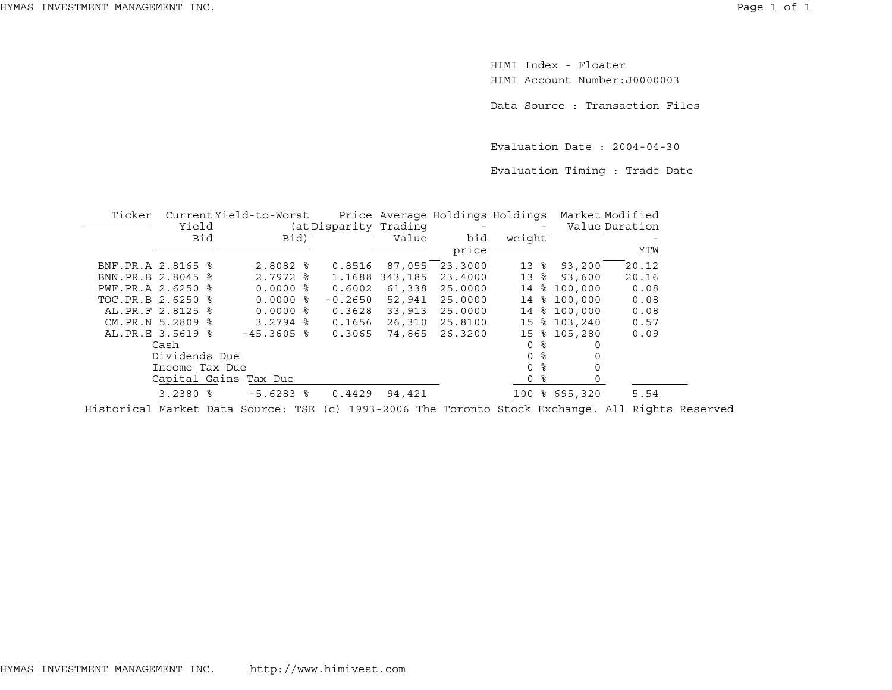HIMI Index - FloaterHIMI Account Number:J0000003

Data Source : Transaction Files

Evaluation Date : 2004-04-30

Evaluation Timing : Trade Date

| Ticker            | Current Yield-to-Worst |  |                       |  | Price Average Holdings Holdings Market Modified |         |                                |               |                          |                |
|-------------------|------------------------|--|-----------------------|--|-------------------------------------------------|---------|--------------------------------|---------------|--------------------------|----------------|
|                   | Yield                  |  |                       |  | (at Disparity Trading)                          |         | and the company of the company |               | $\overline{\phantom{0}}$ | Value Duration |
|                   | <b>Bid</b>             |  | Bid)                  |  |                                                 | Value   | bid                            | weight        |                          |                |
|                   |                        |  |                       |  |                                                 |         | price                          |               |                          | YTW            |
| BNF.PR.A 2.8165 % |                        |  | $2.8082$ %            |  | 0.8516                                          | 87,055  | 23.3000                        | ႜ<br>13       | 93,200                   | 20.12          |
| BNN.PR.B 2.8045 % |                        |  | $2.7972$ %            |  | 1.1688                                          | 343,185 | 23,4000                        |               | 13 % 93,600              | 20.16          |
| PWF.PR.A 2.6250 % |                        |  | $0.0000$ %            |  | 0.6002                                          | 61,338  | 25,0000                        | 14            | \$100.000                | 0.08           |
| TOC.PR.B 2.6250 % |                        |  | $0.0000$ %            |  | $-0.2650$                                       | 52,941  | 25,0000                        | 14            | \$100,000                | 0.08           |
| AL.PR.F 2.8125 %  |                        |  | $0.0000$ %            |  | 0.3628                                          | 33,913  | 25,0000                        | 14            | \$100,000                | 0.08           |
| CM.PR.N 5.2809 %  |                        |  | $3.2794$ $\approx$    |  | 0.1656                                          | 26,310  | 25.8100                        | 15            | \$103,240                | 0.57           |
| AL. PR.E 3.5619 % |                        |  | $-45.3605$ %          |  | 0.3065                                          | 74,865  | 26.3200                        |               | 15 % 105,280             | 0.09           |
|                   | Cash                   |  |                       |  |                                                 |         |                                | ႜ<br>0        | 0                        |                |
|                   | Dividends Due          |  |                       |  |                                                 |         |                                | ႜ<br>$\Omega$ | 0                        |                |
|                   | Income Tax Due         |  |                       |  |                                                 |         |                                | ႜ<br>$\Omega$ | $\Omega$                 |                |
|                   |                        |  | Capital Gains Tax Due |  |                                                 |         |                                | ႜ<br>0        | $\Omega$                 |                |
|                   | $3.2380$ $%$           |  | $-5.6283$ $%$         |  | 0.4429                                          | 94,421  |                                |               | 100 % 695,320            | 5.54           |